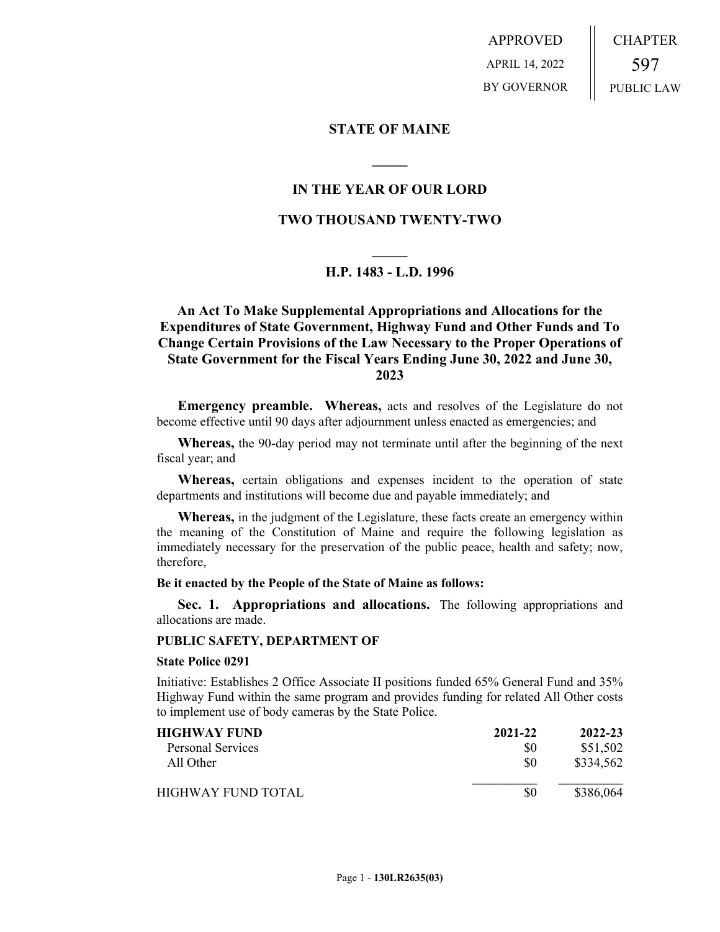APPROVED APRIL 14, 2022 BY GOVERNOR CHAPTER 597 PUBLIC LAW

# **STATE OF MAINE**

# **IN THE YEAR OF OUR LORD**

**\_\_\_\_\_**

# **TWO THOUSAND TWENTY-TWO**

# **\_\_\_\_\_ H.P. 1483 - L.D. 1996**

# **An Act To Make Supplemental Appropriations and Allocations for the Expenditures of State Government, Highway Fund and Other Funds and To Change Certain Provisions of the Law Necessary to the Proper Operations of State Government for the Fiscal Years Ending June 30, 2022 and June 30, 2023**

**Emergency preamble. Whereas,** acts and resolves of the Legislature do not become effective until 90 days after adjournment unless enacted as emergencies; and

**Whereas,** the 90-day period may not terminate until after the beginning of the next fiscal year; and

**Whereas,** certain obligations and expenses incident to the operation of state departments and institutions will become due and payable immediately; and

**Whereas,** in the judgment of the Legislature, these facts create an emergency within the meaning of the Constitution of Maine and require the following legislation as immediately necessary for the preservation of the public peace, health and safety; now, therefore,

**Be it enacted by the People of the State of Maine as follows:**

**Sec. 1. Appropriations and allocations.** The following appropriations and allocations are made.

### **PUBLIC SAFETY, DEPARTMENT OF**

#### **State Police 0291**

Initiative: Establishes 2 Office Associate II positions funded 65% General Fund and 35% Highway Fund within the same program and provides funding for related All Other costs to implement use of body cameras by the State Police.

| HIGHWAY FUND-       | 2021-22 | 2022-23   |
|---------------------|---------|-----------|
| Personal Services   | \$0     | \$51,502  |
| All Other           | \$0     | \$334,562 |
| HIGHWAY FUND TOTAL. | \$0     | \$386,064 |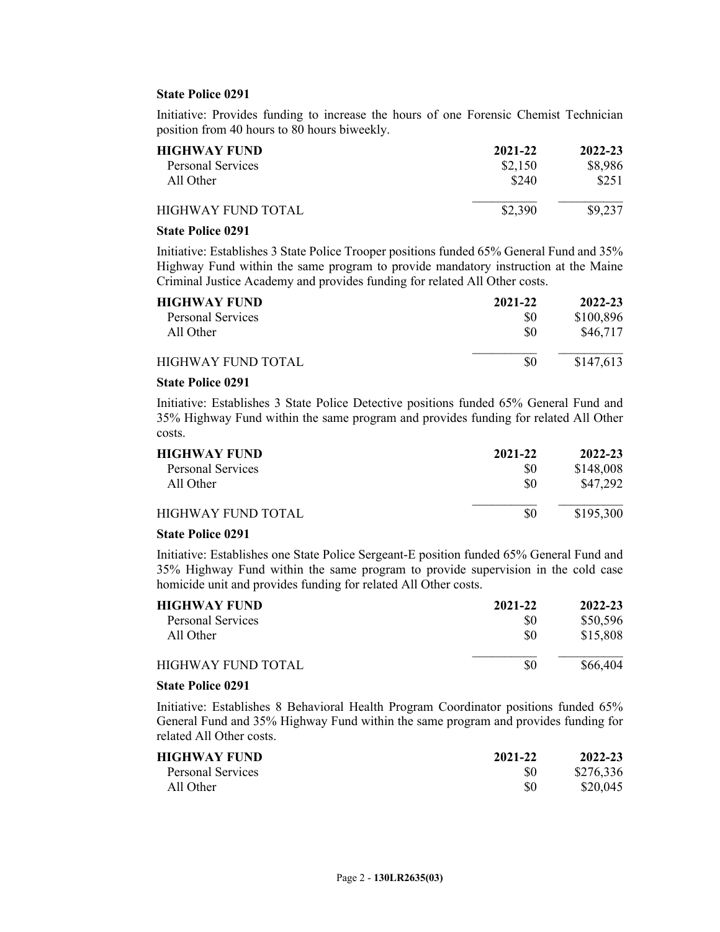### **State Police 0291**

Initiative: Provides funding to increase the hours of one Forensic Chemist Technician position from 40 hours to 80 hours biweekly.

| <b>HIGHWAY FUND</b>      | 2021-22 | 2022-23 |
|--------------------------|---------|---------|
| <b>Personal Services</b> | \$2,150 | \$8,986 |
| All Other                | \$240   | \$251   |
| HIGHWAY FUND TOTAL       | \$2,390 | \$9,237 |
|                          |         |         |

### **State Police 0291**

Initiative: Establishes 3 State Police Trooper positions funded 65% General Fund and 35% Highway Fund within the same program to provide mandatory instruction at the Maine Criminal Justice Academy and provides funding for related All Other costs.

| <b>HIGHWAY FUND</b> | 2021-22 | 2022-23   |
|---------------------|---------|-----------|
| Personal Services   | \$0     | \$100,896 |
| All Other           | \$0     | \$46,717  |
| HIGHWAY FUND TOTAL  | \$0     | \$147,613 |

# **State Police 0291**

Initiative: Establishes 3 State Police Detective positions funded 65% General Fund and 35% Highway Fund within the same program and provides funding for related All Other costs.

| <b>HIGHWAY FUND</b> | 2021-22 | 2022-23   |
|---------------------|---------|-----------|
| Personal Services   | \$0     | \$148,008 |
| All Other           | \$0     | \$47,292  |
| HIGHWAY FUND TOTAL  | \$0     | \$195,300 |

### **State Police 0291**

Initiative: Establishes one State Police Sergeant-E position funded 65% General Fund and 35% Highway Fund within the same program to provide supervision in the cold case homicide unit and provides funding for related All Other costs.

| <b>HIGHWAY FUND</b> | 2021-22 | 2022-23  |
|---------------------|---------|----------|
| Personal Services   | \$0     | \$50,596 |
| All Other           | \$0     | \$15,808 |
| HIGHWAY FUND TOTAL  | \$0     | \$66,404 |

### **State Police 0291**

Initiative: Establishes 8 Behavioral Health Program Coordinator positions funded 65% General Fund and 35% Highway Fund within the same program and provides funding for related All Other costs.

| <b>HIGHWAY FUND</b> | 2021-22 | 2022-23   |
|---------------------|---------|-----------|
| Personal Services   | \$0     | \$276,336 |
| All Other           | \$0     | \$20,045  |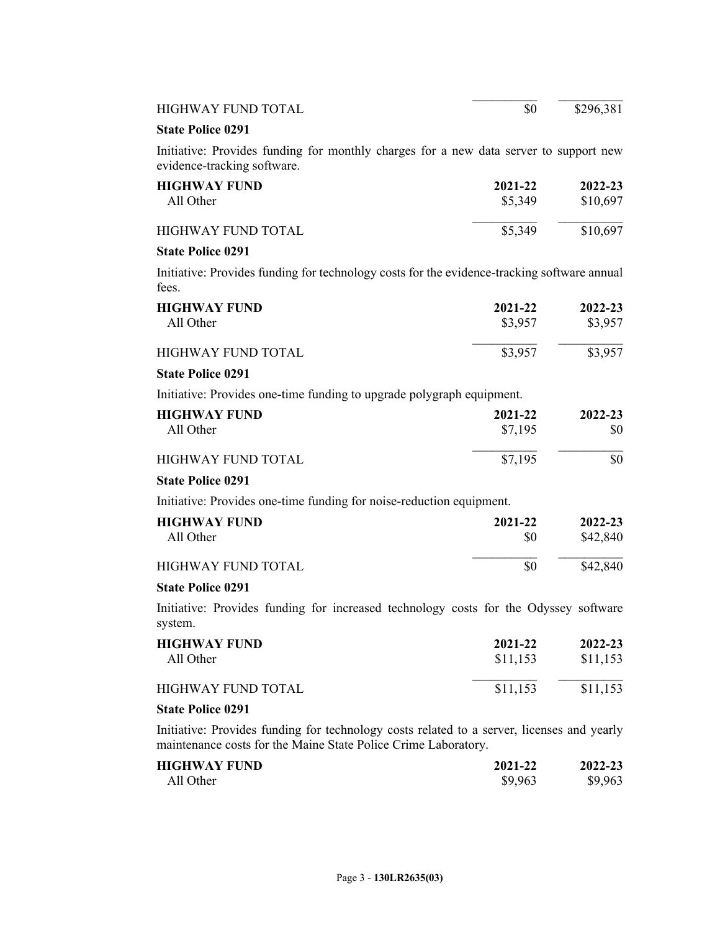| HIGHWAY FUND TOTAL                                                                                                                                           | \$0      | \$296,381 |
|--------------------------------------------------------------------------------------------------------------------------------------------------------------|----------|-----------|
| <b>State Police 0291</b>                                                                                                                                     |          |           |
| Initiative: Provides funding for monthly charges for a new data server to support new<br>evidence-tracking software.                                         |          |           |
| <b>HIGHWAY FUND</b>                                                                                                                                          | 2021-22  | 2022-23   |
| All Other                                                                                                                                                    | \$5,349  | \$10,697  |
| <b>HIGHWAY FUND TOTAL</b>                                                                                                                                    | \$5,349  | \$10,697  |
| <b>State Police 0291</b>                                                                                                                                     |          |           |
| Initiative: Provides funding for technology costs for the evidence-tracking software annual<br>fees.                                                         |          |           |
| <b>HIGHWAY FUND</b>                                                                                                                                          | 2021-22  | 2022-23   |
| All Other                                                                                                                                                    | \$3,957  | \$3,957   |
| <b>HIGHWAY FUND TOTAL</b>                                                                                                                                    | \$3,957  | \$3,957   |
| <b>State Police 0291</b>                                                                                                                                     |          |           |
| Initiative: Provides one-time funding to upgrade polygraph equipment.                                                                                        |          |           |
| <b>HIGHWAY FUND</b>                                                                                                                                          | 2021-22  | 2022-23   |
| All Other                                                                                                                                                    | \$7,195  | \$0       |
| <b>HIGHWAY FUND TOTAL</b>                                                                                                                                    | \$7,195  | \$0       |
| <b>State Police 0291</b>                                                                                                                                     |          |           |
| Initiative: Provides one-time funding for noise-reduction equipment.                                                                                         |          |           |
| <b>HIGHWAY FUND</b>                                                                                                                                          | 2021-22  | 2022-23   |
| All Other                                                                                                                                                    | \$0      | \$42,840  |
| <b>HIGHWAY FUND TOTAL</b>                                                                                                                                    | \$0      | \$42,840  |
| <b>State Police 0291</b>                                                                                                                                     |          |           |
| Initiative: Provides funding for increased technology costs for the Odyssey software<br>system.                                                              |          |           |
| <b>HIGHWAY FUND</b>                                                                                                                                          | 2021-22  | 2022-23   |
| All Other                                                                                                                                                    | \$11,153 | \$11,153  |
| <b>HIGHWAY FUND TOTAL</b>                                                                                                                                    | \$11,153 | \$11,153  |
| <b>State Police 0291</b>                                                                                                                                     |          |           |
| Initiative: Provides funding for technology costs related to a server, licenses and yearly<br>maintenance costs for the Maine State Police Crime Laboratory. |          |           |

| HIGHWAY FUND | 2021-22 | 2022-23 |
|--------------|---------|---------|
| All Other    | \$9,963 | \$9,963 |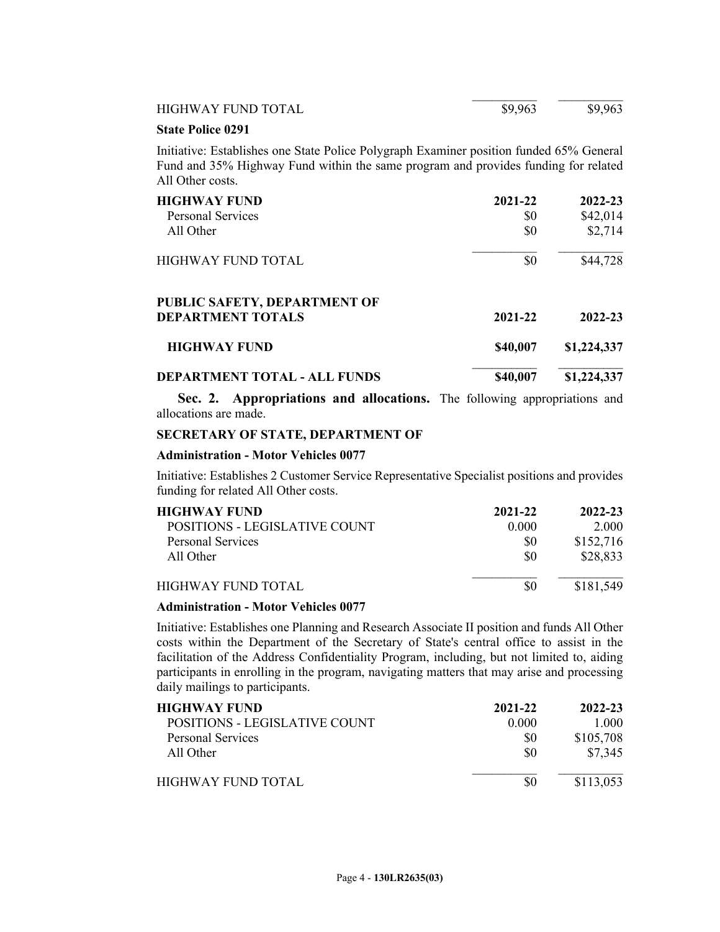| <b>HIGHWAY FUND TOTAL</b>                                                                                                                                                                         | \$9,963  | \$9,963     |
|---------------------------------------------------------------------------------------------------------------------------------------------------------------------------------------------------|----------|-------------|
| <b>State Police 0291</b>                                                                                                                                                                          |          |             |
| Initiative: Establishes one State Police Polygraph Examiner position funded 65% General<br>Fund and 35% Highway Fund within the same program and provides funding for related<br>All Other costs. |          |             |
| <b>HIGHWAY FUND</b>                                                                                                                                                                               | 2021-22  | 2022-23     |
| Personal Services                                                                                                                                                                                 | SO.      | \$42,014    |
| All Other                                                                                                                                                                                         | \$0      | \$2,714     |
| <b>HIGHWAY FUND TOTAL</b>                                                                                                                                                                         | \$0      | \$44,728    |
| <b>PUBLIC SAFETY, DEPARTMENT OF</b><br><b>DEPARTMENT TOTALS</b>                                                                                                                                   | 2021-22  | 2022-23     |
| <b>HIGHWAY FUND</b>                                                                                                                                                                               | \$40,007 | \$1,224,337 |
| <b>DEPARTMENT TOTAL - ALL FUNDS</b>                                                                                                                                                               | \$40,007 | \$1,224,337 |

**Sec. 2. Appropriations and allocations.** The following appropriations and allocations are made.

# **SECRETARY OF STATE, DEPARTMENT OF**

### **Administration - Motor Vehicles 0077**

Initiative: Establishes 2 Customer Service Representative Specialist positions and provides funding for related All Other costs.

| <b>HIGHWAY FUND</b>           | 2021-22 | 2022-23   |
|-------------------------------|---------|-----------|
| POSITIONS - LEGISLATIVE COUNT | 0.000   | 2 000     |
| Personal Services             | \$0     | \$152,716 |
| All Other                     | \$0     | \$28,833  |
| HIGHWAY FUND TOTAL            |         | \$181,549 |

### **Administration - Motor Vehicles 0077**

Initiative: Establishes one Planning and Research Associate II position and funds All Other costs within the Department of the Secretary of State's central office to assist in the facilitation of the Address Confidentiality Program, including, but not limited to, aiding participants in enrolling in the program, navigating matters that may arise and processing daily mailings to participants.

| HIGHWAY FUND                  | 2021-22 | 2022-23   |
|-------------------------------|---------|-----------|
| POSITIONS - LEGISLATIVE COUNT | 0.000   | 1.000     |
| <b>Personal Services</b>      | \$0     | \$105,708 |
| All Other                     | \$0     | \$7,345   |
| HIGHWAY FUND TOTAL            |         | \$113,053 |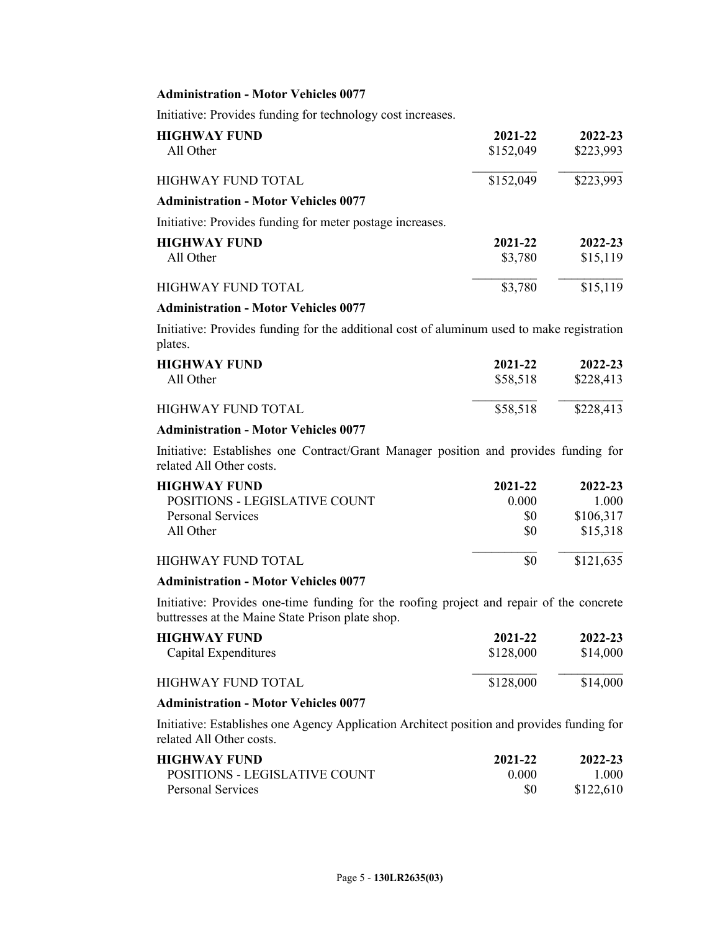### **Administration - Motor Vehicles 0077**

Initiative: Provides funding for technology cost increases.

| \$152,049<br>\$223,993                    |
|-------------------------------------------|
| \$152,049<br>\$223,993                    |
|                                           |
|                                           |
| 2021-22<br>2022-23<br>\$15,119<br>\$3,780 |
| \$3,780<br>\$15,119                       |
|                                           |

### **Administration - Motor Vehicles 0077**

Initiative: Provides funding for the additional cost of aluminum used to make registration plates.

| <b>HIGHWAY FUND</b> | 2021-22  | 2022-23   |
|---------------------|----------|-----------|
| All Other           | \$58,518 | \$228,413 |
| HIGHWAY FUND TOTAL  | \$58,518 | \$228,413 |

### **Administration - Motor Vehicles 0077**

Initiative: Establishes one Contract/Grant Manager position and provides funding for related All Other costs.

| <b>HIGHWAY FUND</b>           | 2021-22 | 2022-23   |
|-------------------------------|---------|-----------|
| POSITIONS - LEGISLATIVE COUNT | 0.000   | 1.000     |
| <b>Personal Services</b>      | \$0     | \$106,317 |
| All Other                     | \$0     | \$15,318  |
| HIGHWAY FUND TOTAL            | \$0     | \$121,635 |

### **Administration - Motor Vehicles 0077**

Initiative: Provides one-time funding for the roofing project and repair of the concrete buttresses at the Maine State Prison plate shop.

| <b>HIGHWAY FUND</b>  | 2021-22   | 2022-23  |
|----------------------|-----------|----------|
| Capital Expenditures | \$128,000 | \$14,000 |
| HIGHWAY FUND TOTAL   | \$128,000 | \$14,000 |

## **Administration - Motor Vehicles 0077**

Initiative: Establishes one Agency Application Architect position and provides funding for related All Other costs.

| <b>HIGHWAY FUND</b>           | 2021-22 | 2022-23   |
|-------------------------------|---------|-----------|
| POSITIONS - LEGISLATIVE COUNT | 0.000   | 1 000     |
| Personal Services             | S0      | \$122,610 |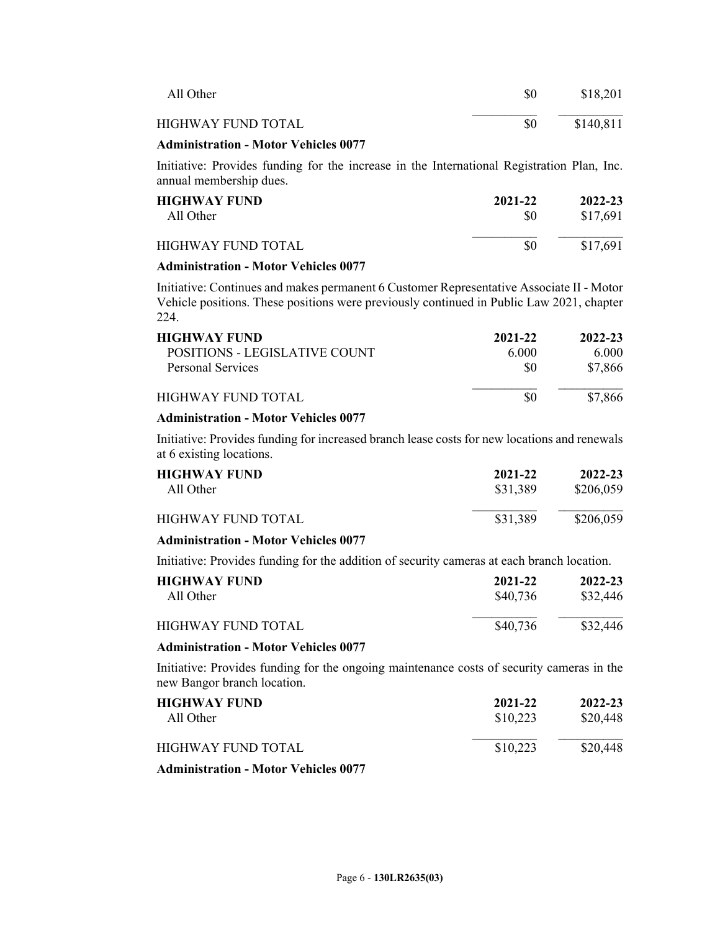| All Other                                                                                                             | \$0     | \$18,201  |
|-----------------------------------------------------------------------------------------------------------------------|---------|-----------|
| HIGHWAY FUND TOTAL                                                                                                    | \$0     | \$140,811 |
| <b>Administration - Motor Vehicles 0077</b>                                                                           |         |           |
| Initiative: Provides funding for the increase in the International Registration Plan, Inc.<br>annual membership dues. |         |           |
| <b>HIGHWAY FUND</b>                                                                                                   | 2021-22 | 2022-23   |
| All Other                                                                                                             | \$0     | \$17,691  |

# HIGHWAY FUND TOTAL \$0 \$17,691

### **Administration - Motor Vehicles 0077**

Initiative: Continues and makes permanent 6 Customer Representative Associate II - Motor Vehicle positions. These positions were previously continued in Public Law 2021, chapter 224.

| <b>HIGHWAY FUND</b>           | 2021-22 | 2022-23 |
|-------------------------------|---------|---------|
| POSITIONS - LEGISLATIVE COUNT | 6.000   | 6.000   |
| Personal Services             | \$0     | \$7,866 |
| <b>HIGHWAY FUND TOTAL</b>     | \$0     | \$7,866 |
|                               |         |         |

### **Administration - Motor Vehicles 0077**

Initiative: Provides funding for increased branch lease costs for new locations and renewals at 6 existing locations.

| <b>HIGHWAY FUND</b> | 2021-22  | 2022-23   |
|---------------------|----------|-----------|
| All Other           | \$31,389 | \$206,059 |
| HIGHWAY FUND TOTAL  | \$31,389 | \$206,059 |

### **Administration - Motor Vehicles 0077**

Initiative: Provides funding for the addition of security cameras at each branch location.

| HIGHWAY FUND-      | 2021-22  | 2022-23  |  |
|--------------------|----------|----------|--|
| All Other          | \$40,736 | \$32,446 |  |
| HIGHWAY FUND TOTAL | \$40,736 | \$32,446 |  |

### **Administration - Motor Vehicles 0077**

Initiative: Provides funding for the ongoing maintenance costs of security cameras in the new Bangor branch location.

| <b>HIGHWAY FUND</b><br>All Other                                                                                                                    | 2021-22<br>\$10,223 | 2022-23<br>\$20,448 |
|-----------------------------------------------------------------------------------------------------------------------------------------------------|---------------------|---------------------|
| HIGHWAY FUND TOTAL.                                                                                                                                 | \$10,223            | \$20,448            |
| $\mathbf{A}$ , $\mathbf{A}$ , $\mathbf{A}$ , $\mathbf{A}$ , $\mathbf{A}$ , $\mathbf{A}$ , $\mathbf{A}$ , $\mathbf{A}$ , $\mathbf{A}$ , $\mathbf{A}$ |                     |                     |

**Administration - Motor Vehicles 0077**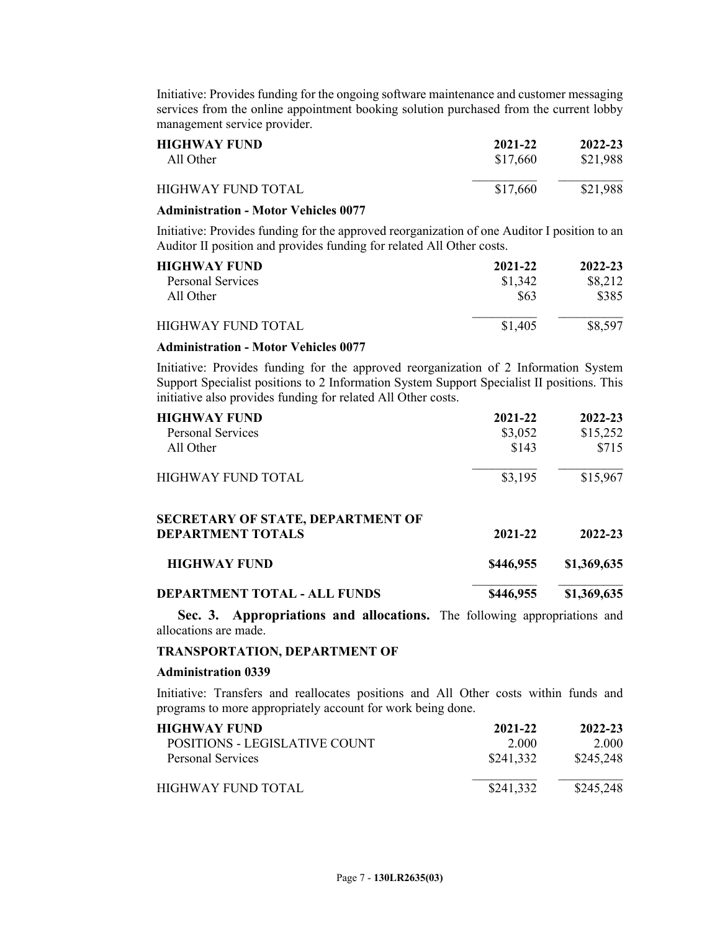Initiative: Provides funding for the ongoing software maintenance and customer messaging services from the online appointment booking solution purchased from the current lobby management service provider.

| <b>HIGHWAY FUND</b> | 2021-22  |          |
|---------------------|----------|----------|
| All Other           | \$17.660 |          |
| HIGHWAY FUND TOTAL  | \$17,660 | \$21,988 |

### **Administration - Motor Vehicles 0077**

Initiative: Provides funding for the approved reorganization of one Auditor I position to an Auditor II position and provides funding for related All Other costs.

| <b>HIGHWAY FUND</b> | 2021-22 | 2022-23 |
|---------------------|---------|---------|
| Personal Services   | \$1,342 | \$8,212 |
| All Other           | \$63    | \$385   |
| HIGHWAY FUND TOTAL  | \$1,405 | \$8.597 |

#### **Administration - Motor Vehicles 0077**

Initiative: Provides funding for the approved reorganization of 2 Information System Support Specialist positions to 2 Information System Support Specialist II positions. This initiative also provides funding for related All Other costs.

| <b>HIGHWAY FUND</b>                      | 2021-22   | 2022-23     |
|------------------------------------------|-----------|-------------|
| <b>Personal Services</b>                 | \$3,052   | \$15,252    |
| All Other                                | \$143     | \$715       |
| <b>HIGHWAY FUND TOTAL</b>                | \$3,195   | \$15,967    |
| <b>SECRETARY OF STATE, DEPARTMENT OF</b> |           |             |
| <b>DEPARTMENT TOTALS</b>                 | 2021-22   | 2022-23     |
| <b>HIGHWAY FUND</b>                      | \$446,955 | \$1,369,635 |
| DEPARTMENT TOTAL - ALL FUNDS             | \$446,955 | \$1,369,635 |

**Sec. 3. Appropriations and allocations.** The following appropriations and allocations are made.

### **TRANSPORTATION, DEPARTMENT OF**

### **Administration 0339**

Initiative: Transfers and reallocates positions and All Other costs within funds and programs to more appropriately account for work being done.

| HIGHWAY FUND-                 | 2021-22   | 2022-23   |
|-------------------------------|-----------|-----------|
| POSITIONS - LEGISLATIVE COUNT | 2.000     | 2.000     |
| Personal Services             | \$241,332 | \$245,248 |
| HIGHWAY FUND TOTAL.           | \$241,332 | \$245,248 |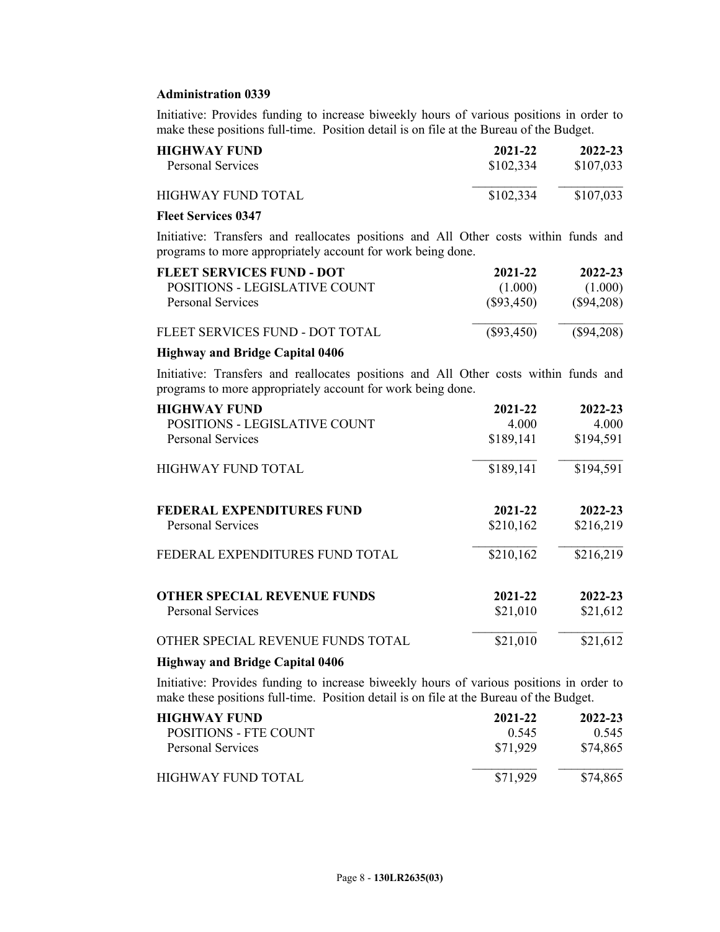### **Administration 0339**

Initiative: Provides funding to increase biweekly hours of various positions in order to make these positions full-time. Position detail is on file at the Bureau of the Budget.

| <b>HIGHWAY FUND</b> | 2021-22   | 2022-23   |
|---------------------|-----------|-----------|
| Personal Services   | \$102,334 | \$107,033 |
| HIGHWAY FUND TOTAL  | \$102,334 | \$107,033 |

## **Fleet Services 0347**

Initiative: Transfers and reallocates positions and All Other costs within funds and programs to more appropriately account for work being done.

| FLEET SERVICES FUND - DOT       | 2021-22      | 2022-23      |
|---------------------------------|--------------|--------------|
| POSITIONS - LEGISLATIVE COUNT   | (1.000)      | (1.000)      |
| Personal Services               | $(\$93,450)$ | $(\$94,208)$ |
| FLEET SERVICES FUND - DOT TOTAL | $(\$93,450)$ | $(\$94,208)$ |

#### **Highway and Bridge Capital 0406**

Initiative: Transfers and reallocates positions and All Other costs within funds and programs to more appropriately account for work being done.

| <b>HIGHWAY FUND</b>                | 2021-22   | 2022-23   |
|------------------------------------|-----------|-----------|
| POSITIONS - LEGISLATIVE COUNT      | 4.000     | 4.000     |
| <b>Personal Services</b>           | \$189,141 | \$194,591 |
| HIGHWAY FUND TOTAL                 | \$189,141 | \$194,591 |
| <b>FEDERAL EXPENDITURES FUND</b>   | 2021-22   | 2022-23   |
| <b>Personal Services</b>           | \$210,162 | \$216,219 |
| FEDERAL EXPENDITURES FUND TOTAL    | \$210,162 | \$216,219 |
| <b>OTHER SPECIAL REVENUE FUNDS</b> | 2021-22   | 2022-23   |
| <b>Personal Services</b>           | \$21,010  | \$21,612  |
| OTHER SPECIAL REVENUE FUNDS TOTAL  | \$21,010  | \$21,612  |

### **Highway and Bridge Capital 0406**

Initiative: Provides funding to increase biweekly hours of various positions in order to make these positions full-time. Position detail is on file at the Bureau of the Budget.

| HIGHWAY FUND.         | 2021-22  | 2022-23  |
|-----------------------|----------|----------|
| POSITIONS - FTE COUNT | 0.545    | 0.545    |
| Personal Services     | \$71.929 | \$74,865 |
| HIGHWAY FUND TOTAL.   | \$71.929 | \$74,865 |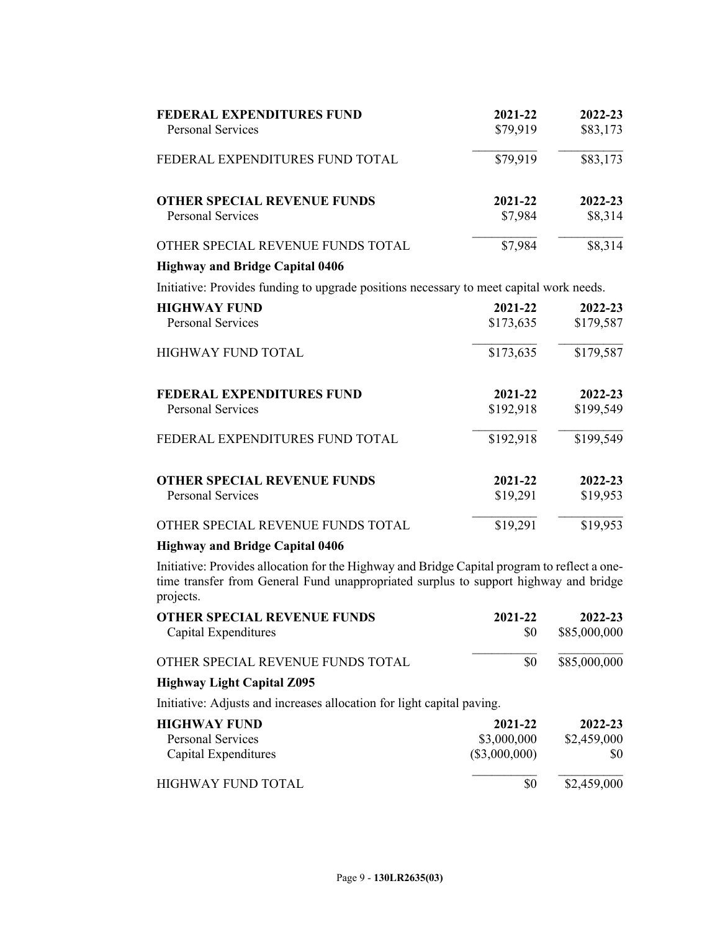| <b>FEDERAL EXPENDITURES FUND</b><br><b>Personal Services</b>                                                                                                                         | 2021-22<br>\$79,919 | 2022-23<br>\$83,173 |
|--------------------------------------------------------------------------------------------------------------------------------------------------------------------------------------|---------------------|---------------------|
|                                                                                                                                                                                      |                     |                     |
| FEDERAL EXPENDITURES FUND TOTAL                                                                                                                                                      | $\sqrt{$79,919}$    | $\sqrt{$83,173}$    |
| <b>OTHER SPECIAL REVENUE FUNDS</b>                                                                                                                                                   | 2021-22             | 2022-23             |
| <b>Personal Services</b>                                                                                                                                                             | \$7,984             | \$8,314             |
| OTHER SPECIAL REVENUE FUNDS TOTAL                                                                                                                                                    | \$7,984             | \$8,314             |
| <b>Highway and Bridge Capital 0406</b>                                                                                                                                               |                     |                     |
| Initiative: Provides funding to upgrade positions necessary to meet capital work needs.                                                                                              |                     |                     |
| <b>HIGHWAY FUND</b>                                                                                                                                                                  | 2021-22             | 2022-23             |
| <b>Personal Services</b>                                                                                                                                                             | \$173,635           | \$179,587           |
| HIGHWAY FUND TOTAL                                                                                                                                                                   | \$173,635           | \$179,587           |
| <b>FEDERAL EXPENDITURES FUND</b>                                                                                                                                                     | 2021-22             | 2022-23             |
| <b>Personal Services</b>                                                                                                                                                             | \$192,918           | \$199,549           |
| FEDERAL EXPENDITURES FUND TOTAL                                                                                                                                                      | \$192,918           | \$199,549           |
| <b>OTHER SPECIAL REVENUE FUNDS</b>                                                                                                                                                   | 2021-22             | 2022-23             |
| <b>Personal Services</b>                                                                                                                                                             | \$19,291            | \$19,953            |
| OTHER SPECIAL REVENUE FUNDS TOTAL                                                                                                                                                    | \$19,291            | \$19,953            |
| <b>Highway and Bridge Capital 0406</b>                                                                                                                                               |                     |                     |
| Initiative: Provides allocation for the Highway and Bridge Capital program to reflect a one-<br>time transfer from General Fund unappropriated surplus to support highway and bridge |                     |                     |

projects. **OTHER SPECIAL REVENUE FUNDS 2021-22 2022-23** Capital Expenditures  $$80$  \$85,000,000  $\mathcal{L}_\text{max}$ OTHER SPECIAL REVENUE FUNDS TOTAL \$0 \$85,000,000 **Highway Light Capital Z095** Initiative: Adjusts and increases allocation for light capital paving. **HIGHWAY FUND**<br>**2021-22 2022-23**<br>**2022-23**<br>**2022-23**<br>**2022-23**<br>**2022-23** Personal Services \$3,000,000<br>Capital Expenditures (\$3,000,000) Capital Expenditures (\$3,000,000) \$0  $\mathcal{L}_\text{max}$ 

| HIGHWAY FUND TOTAL | \$2,459,000 |  |
|--------------------|-------------|--|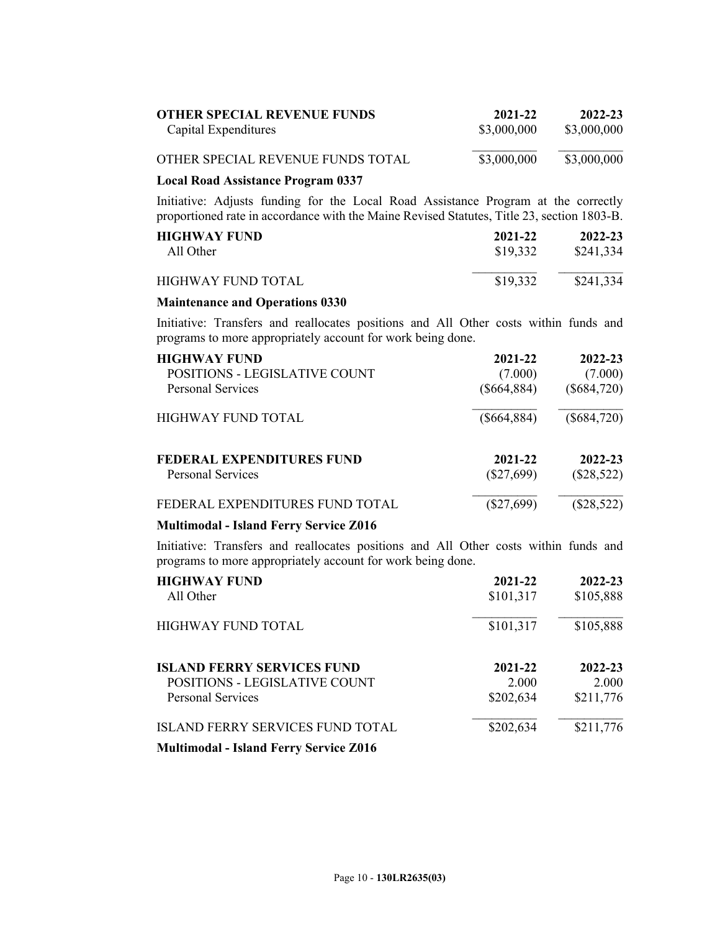| <b>OTHER SPECIAL REVENUE FUNDS</b><br>Capital Expenditures | 2021-22<br>\$3,000,000 | 2022-23<br>\$3,000,000 |
|------------------------------------------------------------|------------------------|------------------------|
| OTHER SPECIAL REVENUE FUNDS TOTAL                          | \$3,000,000            | \$3,000,000            |
| <b>Local Road Assistance Program 0337</b>                  |                        |                        |

Initiative: Adjusts funding for the Local Road Assistance Program at the correctly proportioned rate in accordance with the Maine Revised Statutes, Title 23, section 1803-B.

| <b>HIGHWAY FUND</b> | 2021-22  | 2022-23   |
|---------------------|----------|-----------|
| All Other           | \$19,332 | \$241,334 |
| HIGHWAY FUND TOTAL  | \$19,332 | \$241,334 |

### **Maintenance and Operations 0330**

Initiative: Transfers and reallocates positions and All Other costs within funds and programs to more appropriately account for work being done.

| <b>HIGHWAY FUND</b>              | 2021-22       | 2022-23       |
|----------------------------------|---------------|---------------|
| POSITIONS - LEGISLATIVE COUNT    | (7.000)       | (7.000)       |
| Personal Services                | $(\$664,884)$ | $(\$684,720)$ |
| HIGHWAY FUND TOTAL               | $(\$664,884)$ | $(\$684,720)$ |
| <b>FEDERAL EXPENDITURES FUND</b> | 2021-22       | 2022-23       |
| Personal Services                | $(\$27,699)$  | $(\$28,522)$  |
| FEDERAL EXPENDITURES FUND TOTAL  | $(\$27,699)$  | $(\$28,522)$  |

## **Multimodal - Island Ferry Service Z016**

Initiative: Transfers and reallocates positions and All Other costs within funds and programs to more appropriately account for work being done.

| <b>HIGHWAY FUND</b><br>All Other                   | 2021-22<br>\$101,317 | 2022-23<br>\$105,888 |
|----------------------------------------------------|----------------------|----------------------|
| <b>HIGHWAY FUND TOTAL</b>                          | \$101,317            | \$105,888            |
| <b>ISLAND FERRY SERVICES FUND</b>                  | 2021-22              | 2022-23              |
| POSITIONS - LEGISLATIVE COUNT<br>Personal Services | 2.000<br>\$202,634   | 2.000<br>\$211,776   |
| <b>ISLAND FERRY SERVICES FUND TOTAL</b>            | \$202,634            | \$211,776            |
| <b>Multimodal - Island Ferry Service Z016</b>      |                      |                      |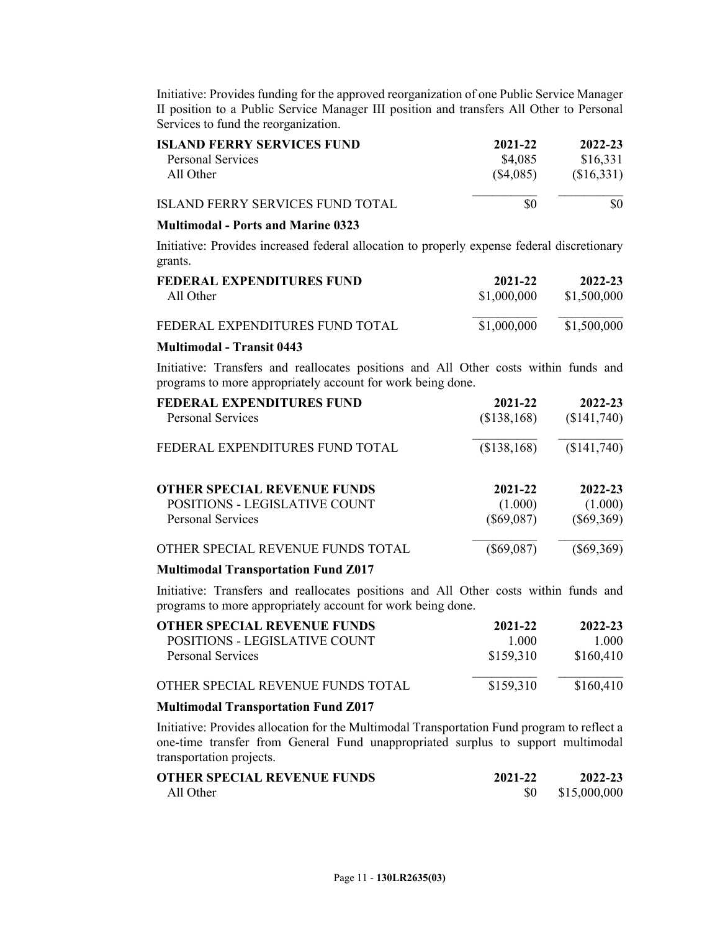Initiative: Provides funding for the approved reorganization of one Public Service Manager II position to a Public Service Manager III position and transfers All Other to Personal Services to fund the reorganization.

| <b>ISLAND FERRY SERVICES FUND</b>       | 2021-22   | 2022-23    |
|-----------------------------------------|-----------|------------|
| Personal Services                       | \$4,085   | \$16,331   |
| All Other                               | (\$4,085) | (\$16,331) |
| <b>ISLAND FERRY SERVICES FUND TOTAL</b> | \$0       | \$0        |

#### **Multimodal - Ports and Marine 0323**

Initiative: Provides increased federal allocation to properly expense federal discretionary grants.

| FEDERAL EXPENDITURES FUND       | 2021-22     | 2022-23     |
|---------------------------------|-------------|-------------|
| All Other                       | \$1,000,000 | \$1,500,000 |
| FEDERAL EXPENDITURES FUND TOTAL | \$1,000,000 | \$1,500,000 |

#### **Multimodal - Transit 0443**

Initiative: Transfers and reallocates positions and All Other costs within funds and programs to more appropriately account for work being done.

| <b>FEDERAL EXPENDITURES FUND</b><br><b>Personal Services</b> | 2021-22<br>(\$138,168)  | 2022-23<br>(\$141,740)  |
|--------------------------------------------------------------|-------------------------|-------------------------|
| FEDERAL EXPENDITURES FUND TOTAL                              | (\$138,168)             | (\$141,740)             |
| <b>OTHER SPECIAL REVENUE FUNDS</b>                           | 2021-22                 | 2022-23                 |
| POSITIONS - LEGISLATIVE COUNT<br>Personal Services           | (1.000)<br>$(\$69,087)$ | (1.000)<br>$(\$69,369)$ |
| OTHER SPECIAL REVENUE FUNDS TOTAL                            | $(\$69,087)$            | $(\$69,369)$            |

### **Multimodal Transportation Fund Z017**

Initiative: Transfers and reallocates positions and All Other costs within funds and programs to more appropriately account for work being done.

| <b>OTHER SPECIAL REVENUE FUNDS</b>         | 2021-22   | 2022-23   |
|--------------------------------------------|-----------|-----------|
| POSITIONS - LEGISLATIVE COUNT              | 1 000     | 1.000     |
| <b>Personal Services</b>                   | \$159,310 | \$160,410 |
| OTHER SPECIAL REVENUE FUNDS TOTAL          | \$159,310 | \$160,410 |
| <b>Multimodal Transportation Fund Z017</b> |           |           |

Initiative: Provides allocation for the Multimodal Transportation Fund program to reflect a one-time transfer from General Fund unappropriated surplus to support multimodal transportation projects.

| OTHER SPECIAL REVENUE FUNDS | 2021-22 | 2022-23      |
|-----------------------------|---------|--------------|
| All Other                   |         | \$15,000,000 |